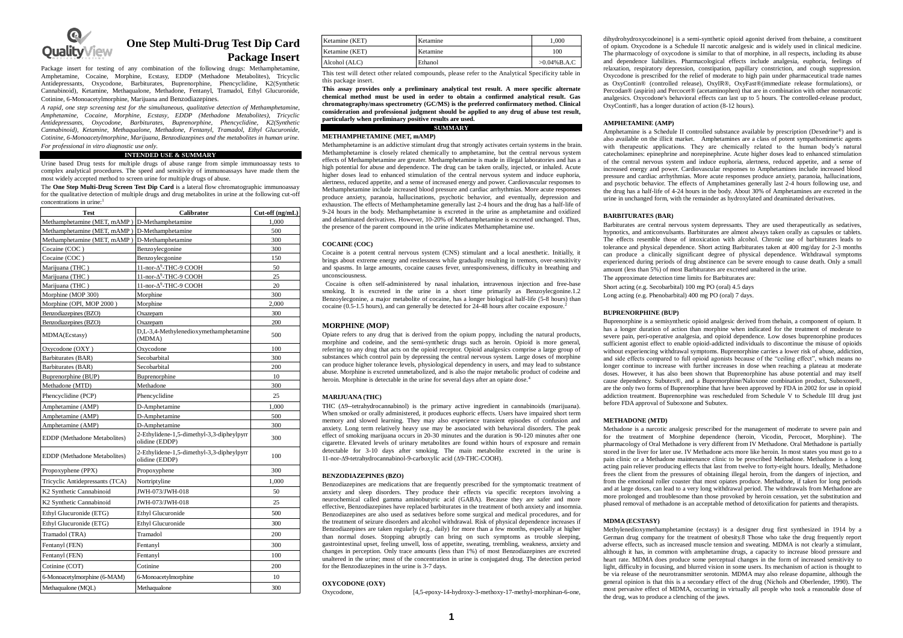

# **One Step Multi-Drug Test Dip Card Package Insert**

Package insert for testing of any combination of the following drugs: Methamphetamine, Amphetamine, Cocaine, Morphine, Ecstasy, EDDP (Methadone Metabolites), Tricyclic Antidepressants, Oxycodone, Barbiturates, Buprenorphine, Phencyclidine, K2(Synthetic Cannabinoid), Ketamine, Methaqualone, Methadone, Fentanyl, Tramadol, Ethyl Glucuronide, Cotinine, 6-Monoacetylmorphine, Marijuana and Benzodiazepines.

*A rapid, one step screening test for the simultaneous, qualitative detection of Methamphetamine, Amphetamine, Cocaine, Morphine, Ecstasy, EDDP (Methadone Metabolites), Tricyclic Antidepressants, Oxycodone, Barbiturates, Buprenorphine, Phencyclidine, K2(Synthetic Cannabinoid), Ketamine, Methaqualone, Methadone, Fentanyl, Tramadol, Ethyl Glucuronide, Cotinine, 6-Monoacetylmorphine, Marijuana, Benzodiazepines and the metabolites in human urine. For professional in vitro diagnostic use only.*

#### **INTENDED USE & SUMMARY**

Urine based Drug tests for multiple drugs of abuse range from simple immunoassay tests to complex analytical procedures. The speed and sensitivity of immunoassays have made them the most widely accepted method to screen urine for multiple drugs of abuse.

The **One Step Multi-Drug Screen Test Dip Card** is a lateral flow chromatographic immunoassay for the qualitative detection of multiple drugs and drug metabolites in urine at the following cut-off concentrations in urine:<sup>1</sup>

| <b>Test</b>                         | Calibrator                                                  | Cut-off (ng/mL) |  |
|-------------------------------------|-------------------------------------------------------------|-----------------|--|
| Methamphetamine (MET, mAMP)         | D-Methamphetamine                                           | 1,000           |  |
| Methamphetamine (MET, mAMP)         | D-Methamphetamine                                           | 500             |  |
| Methamphetamine (MET, mAMP)         | D-Methamphetamine                                           | 300             |  |
| Cocaine (COC)                       | Benzoylecgonine                                             | 300             |  |
| Cocaine (COC)                       | Benzoylecgonine                                             | 150             |  |
| Marijuana (THC)                     | 11-nor-∆9-THC-9 COOH                                        | 50              |  |
| Marijuana (THC)                     | 11-nor- $\Delta^9$ -THC-9 COOH                              | 25              |  |
| Marijuana (THC)                     | 11-nor-∆9-THC-9 COOH                                        | 20              |  |
| Morphine (MOP 300)                  | Morphine                                                    | 300             |  |
| Morphine (OPI, MOP 2000)            | Morphine                                                    | 2.000           |  |
| Benzodiazepines (BZO)               | Oxazepam                                                    | 300             |  |
| Benzodiazepines (BZO)               | Oxazepam                                                    | 200             |  |
| MDMA(Ecstasy)                       | D,L-3,4-Methylenedioxymethamphetamine<br>(MDMA)             | 500             |  |
| Oxycodone (OXY)                     | Oxycodone                                                   | 100             |  |
| Barbiturates (BAR)                  | Secobarbital                                                | 300             |  |
| Barbiturates (BAR)                  | Secobarbital                                                | 200             |  |
| Buprenorphine (BUP)                 | Buprenorphine                                               | 10              |  |
| Methadone (MTD)                     | Methadone                                                   | 300             |  |
| Phencyclidine (PCP)                 | Phencyclidine                                               | 25              |  |
| Amphetamine (AMP)                   | D-Amphetamine                                               | 1.000           |  |
| Amphetamine (AMP)                   | D-Amphetamine                                               | 500             |  |
| Amphetamine (AMP)                   | D-Amphetamine                                               | 300             |  |
| <b>EDDP</b> (Methadone Metabolites) | 2-Ethylidene-1,5-dimethyl-3,3-dipheylpyrr<br>olidine (EDDP) | 300             |  |
| EDDP (Methadone Metabolites)        | 2-Ethylidene-1,5-dimethyl-3,3-dipheylpyrr<br>olidine (EDDP) | 100             |  |
| Propoxyphene (PPX)                  | Propoxyphene                                                | 300             |  |
| Tricyclic Antidepressants (TCA)     | Nortriptyline                                               | 1.000           |  |
| K2 Synthetic Cannabinoid            | JWH-073/JWH-018                                             | 50              |  |
| K2 Synthetic Cannabinoid            | JWH-073/JWH-018                                             | 25              |  |
| Ethyl Glucuronide (ETG)             | <b>Ethyl Glucuronide</b>                                    | 500             |  |
| Ethyl Glucuronide (ETG)             | <b>Ethyl Glucuronide</b>                                    | 300             |  |
| Tramadol (TRA)                      | Tramadol                                                    | 200             |  |
| Fentanyl (FEN)                      | Fentanyl                                                    | 300             |  |
| Fentanyl (FEN)                      | Fentanyl                                                    | 100             |  |
| Cotinine (COT)                      | Cotinine                                                    | 200             |  |
| 6-Monoacetylmorphine (6-MAM)        | 6-Monoacetylmorphine                                        | 10              |  |
| Methaqualone (MQL)                  | Methaqualone                                                | 300             |  |

| Ketamine (KET) | Ketamine | 1.000           |
|----------------|----------|-----------------|
| Ketamine (KET) | Ketamine | 100             |
| Alcohol (ALC)  | Ethanol  | $>0.04\%$ B.A.C |

This test will detect other related compounds, please refer to the Analytical Specificity table in this package insert.

**This assay provides only a preliminary analytical test result. A more specific alternate chemical method must be used in order to obtain a confirmed analytical result. Gas chromatography/mass spectrometry (GC/MS) is the preferred confirmatory method. Clinical**  consideration and professional judgment should be applied to any drug of abuse test result, **particularly when preliminary positive results are used.**

# **SUMMARY**

# **METHAMPHETAMINE (MET, mAMP)**

Methamphetamine is an addictive stimulant drug that strongly activates certain systems in the brain. Methamphetamine is closely related chemically to amphetamine, but the central nervous system effects of Methamphetamine are greater. Methamphetamine is made in illegal laboratories and has a high potential for abuse and dependence. The drug can be taken orally, injected, or inhaled. Acute higher doses lead to enhanced stimulation of the central nervous system and induce euphoria, alertness, reduced appetite, and a sense of increased energy and power. Cardiovascular responses to Methamphetamine include increased blood pressure and cardiac arrhythmias. More acute responses produce anxiety, paranoia, hallucinations, psychotic behavior, and eventually, depression and exhaustion. The effects of Methamphetamine generally last 2-4 hours and the drug has a half-life of 9-24 hours in the body. Methamphetamine is excreted in the urine as amphetamine and oxidized and delaminated derivatives. However, 10-20% of Methamphetamine is excreted unchanged. Thus, the presence of the parent compound in the urine indicates Methamphetamine use.

### **COCAINE (COC)**

Cocaine is a potent central nervous system (CNS) stimulant and a local anesthetic. Initially, it brings about extreme energy and restlessness while gradually resulting in tremors, over-sensitivity and spasms. In large amounts, cocaine causes fever, unresponsiveness, difficulty in breathing and unconsciousness.

Cocaine is often self-administered by nasal inhalation, intravenous injection and free-base smoking. It is excreted in the urine in a short time primarily as Benzoylecgonine.1.2 Benzoylecgonine, a major metabolite of cocaine, has a longer biological half-life (5-8 hours) than cocaine (0.5-1.5 hours), and can generally be detected for 24-48 hours after cocaine exposure.<sup>2</sup>

### **MORPHINE (MOP)**

Opiate refers to any drug that is derived from the opium poppy, including the natural products, morphine and codeine, and the semi-synthetic drugs such as heroin. Opioid is more general, referring to any drug that acts on the opioid receptor. Opioid analgesics comprise a large group of substances which control pain by depressing the central nervous system. Large doses of morphine can produce higher tolerance levels, physiological dependency in users, and may lead to substance abuse. Morphine is excreted unmetabolized, and is also the major metabolic product of codeine and heroin. Morphine is detectable in the urine for several days after an opiate dose.<sup>4</sup>

### **MARIHIANA** (THC)

THC  $(\Delta 9$ -tetrahydrocannabinol) is the primary active ingredient in cannabinoids (marijuana). When smoked or orally administered, it produces euphoric effects. Users have impaired short term memory and slowed learning. They may also experience transient episodes of confusion and anxiety. Long term relatively heavy use may be associated with behavioral disorders. The peak effect of smoking marijuana occurs in 20-30 minutes and the duration is 90-120 minutes after one cigarette. Elevated levels of urinary metabolites are found within hours of exposure and remain detectable for 3-10 days after smoking. The main metabolite excreted in the urine is 11-nor-Δ9-tetrahydrocannabinol-9-carboxylic acid (Δ9-THC-COOH).

### **BENZODIAZEPINES (BZO)**

Benzodiazepines are medications that are frequently prescribed for the symptomatic treatment of anxiety and sleep disorders. They produce their effects via specific receptors involving a neurochemical called gamma aminobutyric acid (GABA). Because they are safer and more effective, Benzodiazepines have replaced barbiturates in the treatment of both anxiety and insomnia. Benzodiazepines are also used as sedatives before some surgical and medical procedures, and for the treatment of seizure disorders and alcohol withdrawal. Risk of physical dependence increases if Benzodiazepines are taken regularly (e.g., daily) for more than a few months, especially at higher than normal doses. Stopping abruptly can bring on such symptoms as trouble sleeping, gastrointestinal upset, feeling unwell, loss of appetite, sweating, trembling, weakness, anxiety and changes in perception. Only trace amounts (less than 1%) of most Benzodiazepines are excreted unaltered in the urine; most of the concentration in urine is conjugated drug. The detection period for the Benzodiazepines in the urine is 3-7 days.

# **OXYCODONE (OXY)**

Oxycodone, [4,5-epoxy-14-hydroxy-3-methoxy-17-methyl-morphinan-6-one,

dihydrohydroxycodeinone] is a semi-synthetic opioid agonist derived from thebaine, a constituent of opium. Oxycodone is a Schedule II narcotic analgesic and is widely used in clinical medicine. The pharmacology of oxycodone is similar to that of morphine, in all respects, including its abuse and dependence liabilities. Pharmacological effects include analgesia, euphoria, feelings of relaxation, respiratory depression, constipation, papillary constriction, and cough suppression. Oxycodone is prescribed for the relief of moderate to high pain under pharmaceutical trade names as OxyContin® (controlled release), OxyIR®, OxyFast®(immediate release formulations), or Percodan® (aspirin) and Percocet® (acetaminophen) that are in combination with other nonnarcotic analgesics. Oxycodone's behavioral effects can last up to 5 hours. The controlled-release product, OxyContin®, has a longer duration of action (8-12 hours).

### **AMPHETAMINE (AMP)**

Amphetamine is a Schedule II controlled substance available by prescription (Dexedrine®) and is also available on the illicit market. Amphetamines are a class of potent sympathomimetic agents with therapeutic applications. They are chemically related to the human body's natural catecholamines: epinephrine and norepinephrine. Acute higher doses lead to enhanced stimulation of the central nervous system and induce euphoria, alertness, reduced appetite, and a sense of increased energy and power. Cardiovascular responses to Amphetamines include increased blood pressure and cardiac arrhythmias. More acute responses produce anxiety, paranoia, hallucinations, and psychotic behavior. The effects of Amphetamines generally last 2-4 hours following use, and the drug has a half-life of 4-24 hours in the body. About 30% of Amphetamines are excreted in the urine in unchanged form, with the remainder as hydroxylated and deaminated derivatives.

#### **BARBITURATES (BAR)**

Barbiturates are central nervous system depressants. They are used therapeutically as sedatives, hypnotics, and anticonvulsants. Barbiturates are almost always taken orally as capsules or tablets. The effects resemble those of intoxication with alcohol. Chronic use of barbiturates leads to tolerance and physical dependence. Short acting Barbiturates taken at 400 mg/day for 2-3 months can produce a clinically significant degree of physical dependence. Withdrawal symptoms experienced during periods of drug abstinence can be severe enough to cause death. Only a small amount (less than 5%) of most Barbiturates are excreted unaltered in the urine.

The approximate detection time limits for Barbiturates are:

Short acting (e.g. Secobarbital) 100 mg PO (oral) 4.5 days

Long acting (e.g. Phenobarbital) 400 mg PO (oral) 7 days.

# **BUPRENORPHINE (BUP)**

Buprenorphine is a semisynthetic opioid analgesic derived from thebain, a component of opium. It has a longer duration of action than morphine when indicated for the treatment of moderate to severe pain, peri-operative analgesia, and opioid dependence. Low doses buprenorphine produces sufficient agonist effect to enable opioid-addicted individuals to discontinue the misuse of opioids without experiencing withdrawal symptoms. Buprenorphine carries a lower risk of abuse, addiction, and side effects compared to full opioid agonists because of the "ceiling effect", which means no longer continue to increase with further increases in dose when reaching a plateau at moderate doses. However, it has also been shown that Buprenorphine has abuse potential and may itself cause dependency. Subutex®, and a Buprenorphine/Naloxone combination product, Suboxone®, are the only two forms of Buprenorphine that have been approved by FDA in 2002 for use in opioid addiction treatment. Buprenorphine was rescheduled from Schedule V to Schedule III drug just before FDA approval of Suboxone and Subutex.

#### **METHADONE (MTD)**

Methadone is a narcotic analgesic prescribed for the management of moderate to severe pain and for the treatment of Morphine dependence (heroin, Vicodin, Percocet, Morphine). The pharmacology of Oral Methadone is very different from IV Methadone. Oral Methadone is partially stored in the liver for later use. IV Methadone acts more like heroin. In most states you must go to a pain clinic or a Methadone maintenance clinic to be prescribed Methadone. Methadone is a long acting pain reliever producing effects that last from twelve to forty-eight hours. Ideally, Methadone frees the client from the pressures of obtaining illegal heroin, from the dangers of injection, and from the emotional roller coaster that most opiates produce. Methadone, if taken for long periods and at large doses, can lead to a very long withdrawal period. The withdrawals from Methadone are more prolonged and troublesome than those provoked by heroin cessation, yet the substitution and phased removal of methadone is an acceptable method of detoxification for patients and therapists.

### **MDMA (ECSTASY)**

Methylenedioxymethamphetamine (ecstasy) is a designer drug first synthesized in 1914 by a German drug company for the treatment of obesity.8 Those who take the drug frequently report adverse effects, such as increased muscle tension and sweating. MDMA is not clearly a stimulant, although it has, in common with amphetamine drugs, a capacity to increase blood pressure and heart rate. MDMA does produce some perceptual changes in the form of increased sensitivity to light, difficulty in focusing, and blurred vision in some users. Its mechanism of action is thought to be via release of the neurotransmitter serotonin. MDMA may also release dopamine, although the general opinion is that this is a secondary effect of the drug (Nichols and Oberlender, 1990). The most pervasive effect of MDMA, occurring in virtually all people who took a reasonable dose of the drug, was to produce a clenching of the jaws.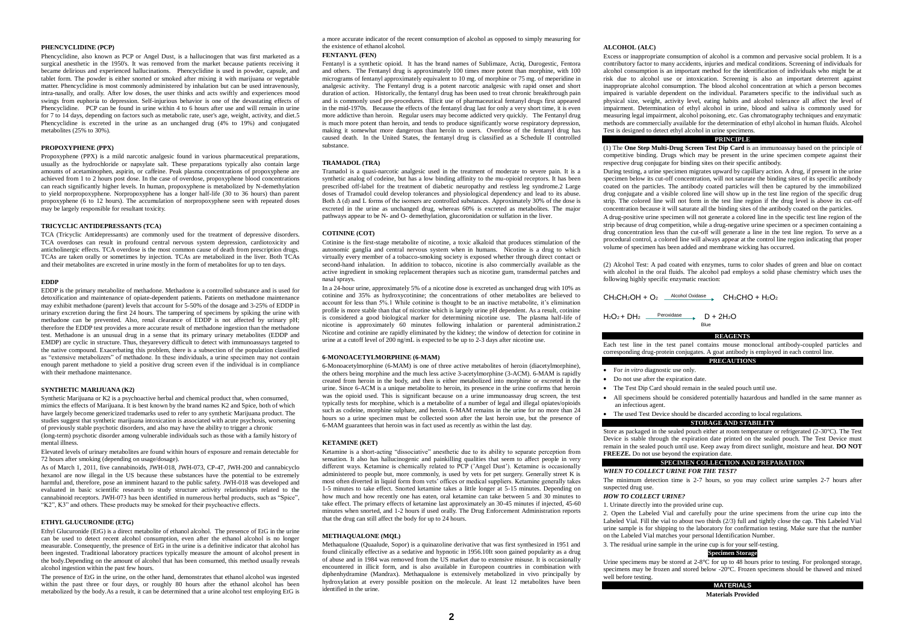# **PHENCYCLIDINE (PCP)**

Phencyclidine, also known as PCP or Angel Dust, is a hallucinogen that was first marketed as a surgical anesthetic in the 1950's. It was removed from the market because patients receiving it became delirious and experienced hallucinations. Phencyclidine is used in powder, capsule, and tablet form. The powder is either snorted or smoked after mixing it with marijuana or vegetable matter. Phencyclidine is most commonly administered by inhalation but can be used intravenously, intra-nasally, and orally. After low doses, the user thinks and acts swiftly and experiences mood swings from euphoria to depression. Self-injurious behavior is one of the devastating effects of Phencyclidine. PCP can be found in urine within 4 to 6 hours after use and will remain in urine for 7 to 14 days, depending on factors such as metabolic rate, user's age, weight, activity, and diet.5 Phencyclidine is excreted in the urine as an unchanged drug (4% to 19%) and conjugated metabolites (25% to 30%).

# **PROPOXYPHENE (PPX)**

Propoxyphene (PPX) is a mild narcotic analgesic found in various pharmaceutical preparations, usually as the hydrochloride or napsylate salt. These preparations typically also contain large amounts of acetaminophen, aspirin, or caffeine. Peak plasma concentrations of propoxyphene are achieved from 1 to 2 hours post dose. In the case of overdose, propoxyphene blood concentrations can reach significantly higher levels. In human, propoxyphene is metabolized by N-demethylation to yield norpropoxyphene. Norpropoxyphene has a longer half-life (30 to 36 hours) than parent propoxyphene (6 to 12 hours). The accumulation of norpropoxyphene seen with repeated doses may be largely responsible for resultant toxicity.

### **TRICYCLIC ANTIDEPRESSANTS (TCA)**

TCA (Tricyclic Antidepressants) are commonly used for the treatment of depressive disorders. TCA overdoses can result in profound central nervous system depression, cardiotoxicity and anticholinergic effects. TCA overdose is the most common cause of death from prescription drugs. TCAs are taken orally or sometimes by injection. TCAs are metabolized in the liver. Both TCAs and their metabolites are excreted in urine mostly in the form of metabolites for up to ten days.

### **EDDP**

EDDP is the primary metabolite of methadone. Methadone is a controlled substance and is used for detoxification and maintenance of opiate-dependent patients. Patients on methadone maintenance may exhibit methadone (parent) levels that account for 5-50% of the dosage and 3-25% of EDDP in urinary excretion during the first 24 hours. The tampering of specimens by spiking the urine with methadone can be prevented. Also, renal clearance of EDDP is not affected by urinary pH; therefore the EDDP test provides a more accurate result of methadone ingestion than the methadone test. Methadone is an unusual drug in a sense that its primary urinary metabolites (EDDP and EMDP) are cyclic in structure. Thus, theyarevery difficult to detect with immunoassays targeted to the native compound. Exacerbating this problem, there is a subsection of the population classified as "extensive metabolizers" of methadone. In these individuals, a urine specimen may not contain enough parent methadone to yield a positive drug screen even if the individual is in compliance with their methadone maintenance.

### **SYNTHETIC MARIJUANA (K2)**

Synthetic Marijuana or K2 is a psychoactive herbal and chemical product that, when consumed, mimics the effects of Marijuana. It is best known by the brand names K2 and Spice, both of which have largely become genericized trademarks used to refer to any synthetic Marijuana product. The studies suggest that synthetic marijuana intoxication is associated with acute psychosis, worsening of previously stable psychotic disorders, and also may have the ability to trigger a chronic (long-term) psychotic disorder among vulnerable individuals such as those with a family history of mental illness.

Elevated levels of urinary metabolites are found within hours of exposure and remain detectable for 72 hours after smoking (depending on usage/dosage).

As of March 1, 2011, five cannabinoids, JWH-018, JWH-073, CP-47, JWH-200 and cannabicyclo hexanol are now illegal in the US because these substances have the potential to be extremely harmful and, therefore, pose an imminent hazard to the public safety. JWH-018 was developed and evaluated in basic scientific research to study structure activity relationships related to the cannabinoid receptors. JWH-073 has been identified in numerous herbal products, such as "Spice", "K2", K3" and others. These products may be smoked for their psychoactive effects.

### **ETHYL GLUCURONIDE (ETG)**

Ethyl Glucuronide (EtG) is a direct metabolite of ethanol alcohol. The presence of EtG in the urine can be used to detect recent alcohol consumption, even after the ethanol alcohol is no longer measurable. Consequently, the presence of EtG in the urine is a definitive indicator that alcohol has been ingested. Traditional laboratory practices typically measure the amount of alcohol present in the body.Depending on the amount of alcohol that has been consumed, this method usually reveals alcohol ingestion within the past few hours.

The presence of EtG in the urine, on the other hand, demonstrates that ethanol alcohol was ingested within the past three or four days, or roughly 80 hours after the ethanol alcohol has been metabolized by the body.As a result, it can be determined that a urine alcohol test employing EtG is

a more accurate indicator of the recent consumption of alcohol as opposed to simply measuring for the existence of ethanol alcohol.

### **FENTANYL (FEN)**

Fentanyl is a synthetic opioid. It has the brand names of Sublimaze, Actiq, Durogestic, Fentora and others. The Fentanyl drug is approximately 100 times more potent than morphine, with 100 micrograms of fentanyl approximately equivalent to 10 mg. of morphine or 75 mg. of meperidine in analgesic activity. The Fentanyl drug is a potent narcotic analgesic with rapid onset and short duration of action. Historically, the fentanyl drug has been used to treat chronic breakthrough pain and is commonly used pre-procedures. Illicit use of pharmaceutical fentanyl drugs first appeared in the mid-1970s. Because the effects of the fentanyl drug last for only a very short time, it is even more addictive than heroin. Regular users may become addicted very quickly. The Fentanyl drug is much more potent than heroin, and tends to produce significantly worse respiratory depression, making it somewhat more dangerous than heroin to users. Overdose of the fentanyl drug has caused death. In the United States, the fentanyl drug is classified as a Schedule II controlled substance.

### **TRAMADOL (TRA)**

Tramadol is a quasi-narcotic analgesic used in the treatment of moderate to severe pain. It is a synthetic analog of codeine, but has a low binding affinity to the mu-opioid receptors. It has been prescribed off-label for the treatment of diabetic neuropathy and restless leg syndrome.2 Large doses of Tramadol could develop tolerances and physiological dependency and lead to its abuse. Both  $Δ$  (d) and L forms of the isomers are controlled substances. Approximately 30% of the dose is excreted in the urine as unchanged drug, whereas 60% is excreted as metabolites. The major pathways appear to be N- and O- demethylation, glucoronidation or sulfation in the liver.

### **COTININE (COT)**

Cotinine is the first-stage metabolite of nicotine, a toxic alkaloid that produces stimulation of the autonomic ganglia and central nervous system when in humans. Nicotine is a drug to which virtually every member of a tobacco-smoking society is exposed whether through direct contact or second-hand inhalation. In addition to tobacco, nicotine is also commercially available as the active ingredient in smoking replacement therapies such as nicotine gum, transdermal patches and nasal sprays.

In a 24-hour urine, approximately 5% of a nicotine dose is excreted as unchanged drug with 10% as cotinine and 35% as hydroxycotinine; the concentrations of other metabolites are believed to account for less than 5%.1 While cotinine is thought to be an inactive metabolite, it's elimination profile is more stable than that of nicotine which is largely urine pH dependent. As a result, cotinine is considered a good biological marker for determining nicotine use. The plasma half-life of nicotine is approximately 60 minutes following inhalation or parenteral administration.2 Nicotine and cotinine are rapidly eliminated by the kidney; the window of detection for cotinine in urine at a cutoff level of 200 ng/mL is expected to be up to 2-3 days after nicotine use.

### **6-MONOACETYLMORPHINE (6-MAM)**

6-Monoacetylmorphine (6-MAM) is one of three active metabolites of heroin (diacetylmorphine), the others being morphine and the much less active 3-acetylmorphine (3-ACM). 6-MAM is rapidly created from heroin in the body, and then is either metabolized into morphine or excreted in the urine. Since 6-ACM is a unique metabolite to heroin, its presence in the urine confirms that heroin was the opioid used. This is significant because on a urine immunoassay drug screen, the test typically tests for morphine, which is a metabolite of a number of legal and illegal opiates/opioids such as codeine, morphine sulphate, and heroin. 6-MAM remains in the urine for no more than 24 hours so a urine specimen must be collected soon after the last heroin use, but the presence of 6-MAM guarantees that heroin was in fact used as recently as within the last day.

### **KETAMINE (KET)**

Ketamine is a short-acting "dissociative" anesthetic due to its ability to separate perception from sensation. It also has hallucinogenic and painkilling qualities that seem to affect people in very different ways. Ketamine is chemically related to PCP ('Angel Dust'). Ketamine is occasionally administered to people but, more commonly, is used by vets for pet surgery. Generally street K is most often diverted in liquid form from vets' offices or medical suppliers. Ketamine generally takes 1-5 minutes to take effect. Snorted ketamine takes a little longer at 5-15 minutes. Depending on how much and how recently one has eaten, oral ketamine can take between 5 and 30 minutes to take effect. The primary effects of ketamine last approximately an 30-45 minutes if injected, 45-60 minutes when snorted, and 1-2 hours if used orally. The Drug Enforcement Administration reports that the drug can still affect the body for up to 24 hours.

### **METHAQUALONE (MQL)**

Methaqualone (Quaalude, Sopor) is a quinazoline derivative that was first synthesized in 1951 and found clinically effective as a sedative and hypnotic in 1956.10It soon gained popularity as a drug of abuse and in 1984 was removed from the US market due to extensive misuse. It is occasionally encountered in illicit form, and is also available in Europeon countries in combination with diphenhydramine (Mandrax). Methaqualone is extensively metabolized in vivo principally by hydroxylation at every possible position on the molecule. At least 12 metabolites have been identified in the urine.

# **ALCOHOL (ALC)**

Excess or inappropriate consumption of alcohol is a common and pervasive social problem. It is a contributory factor to many accidents, injuries and medical conditions. Screening of individuals for alcohol consumption is an important method for the identification of individuals who might be at risk due to alcohol use or intoxication. Screening is also an important deterrent against inappropriate alcohol consumption. The blood alcohol concentration at which a person becomes impaired is variable dependent on the individual. Parameters specific to the individual such as physical size, weight, activity level, eating habits and alcohol tolerance all affect the level of impairment. Determination of ethyl alcohol in urine, blood and saliva is commonly used for measuring legal impairment, alcohol poisoning, etc. Gas chromatography techniques and enzymatic methods are commercially available for the determination of ethyl alcohol in human fluids. Alcohol Test is designed to detect ethyl alcohol in urine specimens.

### **PRINCIPLE**

(1) The **One Step Multi-Drug Screen Test Dip Card** is an immunoassay based on the principle of competitive binding. Drugs which may be present in the urine specimen compete against their respective drug conjugate for binding sites on their specific antibody.

During testing, a urine specimen migrates upward by capillary action. A drug, if present in the urine specimen below its cut-off concentration, will not saturate the binding sites of its specific antibody coated on the particles. The antibody coated particles will then be captured by the immobilized drug conjugate and a visible colored line will show up in the test line region of the specific drug strip. The colored line will not form in the test line region if the drug level is above its cut-off concentration because it will saturate all the binding sites of the antibody coated on the particles.

A drug-positive urine specimen will not generate a colored line in the specific test line region of the strip because of drug competition, while a drug-negative urine specimen or a specimen containing a drug concentration less than the cut-off will generate a line in the test line region. To serve as a procedural control, a colored line will always appear at the control line region indicating that proper volume of specimen has been added and membrane wicking has occurred.

(2) Alcohol Test: A pad coated with enzymes, turns to color shades of green and blue on contact with alcohol in the oral fluids. The alcohol pad employs a solid phase chemistry which uses the following highly specific enzymatic reaction:

 $CH_3CH_2OH + O_2$   $\longrightarrow$  Alcohol Oxidase CH<sub>3</sub>CHO + H<sub>2</sub>O<sub>2</sub>

```
H_2O_2 + DH_2 Peroxidase \longrightarrow D + 2H<sub>2</sub>O
```
### **REAGENTS**

Each test line in the test panel contains mouse monoclonal antibody-coupled particles and corresponding drug-protein conjugates. A goat antibody is employed in each control line.

# **PRECAUTIONS**

- For *in vitro* diagnostic use only.
- Do not use after the expiration date.
- The Test Dip Card should remain in the sealed pouch until use.
- All specimens should be considered potentially hazardous and handled in the same manner as an infectious agent.
- The used Test Device should be discarded according to local regulations.

Blue

# **STORAGE AND STABILITY**

Store as packaged in the sealed pouch either at room temperature or refrigerated (2-30°C). The Test Device is stable through the expiration date printed on the sealed pouch. The Test Device must remain in the sealed pouch until use. Keep away from direct sunlight, moisture and heat. **DO NOT FREEZE.** Do not use beyond the expiration date.

# **SPECIMEN COLLECTION AND PREPARATION**

# *WHEN TO COLLECT URINE FOR THE TEST?*

The minimum detection time is 2-7 hours, so you may collect urine samples 2-7 hours after suspected drug use.

# *HOW TO COLLECT URINE?*

1. Urinate directly into the provided urine cup.

2. Open the Labeled Vial and carefully pour the urine specimens from the urine cup into the Labeled Vial. Fill the vial to about two thirds (2/3) full and tightly close the cap. This Labeled Vial urine sample is for shipping to the laboratory for confirmation testing. Make sure that the number on the Labeled Vial matches your personal Identification Number.

3. The residual urine sample in the urine cup is for your self-testing.

# **Specimen Storage**

Urine specimens may be stored at 2-8°C for up to 48 hours prior to testing. For prolonged storage, specimens may be frozen and stored below -20°C. Frozen specimens should be thawed and mixed well before testing.

> **MATERIALS Materials Provided**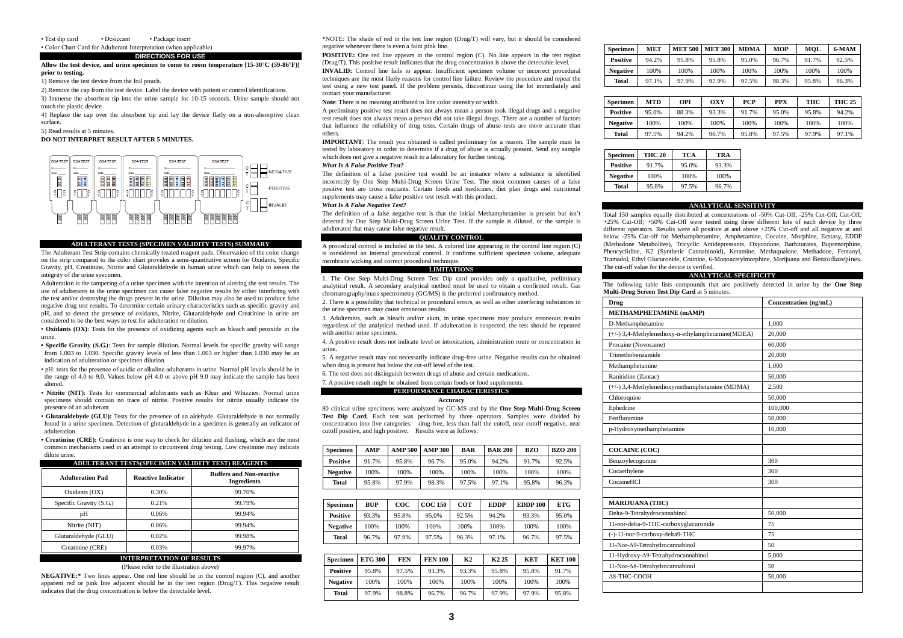• Test dip card • Desiccant • Package insert • Color Chart Card for Adulterant Interpretation (when applicable)

### **DIRECTIONS FOR USE**

### **Allow the test device, and urine specimen to come to room temperature [15-30°C (59-86°F)] prior to testing.**

1) Remove the test device from the foil pouch.

2) Remove the cap from the test device. Label the device with patient or control identifications. 3) Immerse the absorbent tip into the urine sample for 10-15 seconds. Urine sample should not touch the plastic device.

4) Replace the cap over the absorbent tip and lay the device flatly on a non-absorptive clean surface.

5) Read results at 5 minutes.

### **DO NOT INTERPRET RESULT AFTER 5 MINUTES.**



# **ADULTERANT TESTS (SPECIMEN VALIDITY TESTS) SUMMARY**

The Adulterant Test Strip contains chemically treated reagent pads. Observation of the color change on the strip compared to the color chart provides a semi-quantitative screen for Oxidants, Specific Gravity, pH, Creatinine, Nitrite and Glutaraldehyde in human urine which can help to assess the integrity of the urine specimen.

Adulteration is the tampering of a urine specimen with the intention of altering the test results. The use of adulterants in the urine specimen can cause false negative results by either interfering with the test and/or destroying the drugs present in the urine. Dilution may also be used to produce false negative drug test results. To determine certain urinary characteristics such as specific gravity and pH, and to detect the presence of oxidants, Nitrite, Glutaraldehyde and Creatinine in urine are considered to be the best ways to test for adulteration or dilution.

• **Oxidants (OX)**: Tests for the presence of oxidizing agents such as bleach and peroxide in the urine.

**• Specific Gravity (S.G.)**: Tests for sample dilution. Normal levels for specific gravity will range from 1.003 to 1.030. Specific gravity levels of less than 1.003 or higher than 1.030 may be an indication of adulteration or specimen dilution.

• pH: tests for the presence of acidic or alkaline adulterants in urine. Normal pH levels should be in the range of 4.0 to 9.0. Values below pH 4.0 or above pH 9.0 may indicate the sample has been altered.

- **Nitrite (NIT)**: Tests for commercial adulterants such as Klear and Whizzies. Normal urine specimens should contain no trace of nitrite. Positive results for nitrite usually indicate the presence of an adulterant.
- **Glutaraldehyde (GLU):** Tests for the presence of an aldehyde. Glutaraldehyde is not normally found in a urine specimen. Detection of glutaraldehyde in a specimen is generally an indicator of adulteration.

**• Creatinine (CRE):** Creatinine is one way to check for dilution and flushing, which are the most common mechanisms used in an attempt to circumvent drug testing. Low creatinine may indicate dilute urine.

### **ADULTERANT TESTS(SPECIMEN VALIDITY TEST) REAGENTS**

| <b>Adulteration Pad</b> | <b>Reactive Indicator</b>        | <b>Buffers and Non-reactive</b><br><b>Ingredients</b> |  |  |  |  |
|-------------------------|----------------------------------|-------------------------------------------------------|--|--|--|--|
| Oxidants (OX)           | 0.30%                            | 99.70%                                                |  |  |  |  |
| Specific Gravity (S.G.) | 0.21%                            | 99.79%                                                |  |  |  |  |
| pH                      | 0.06%                            | 99.94%                                                |  |  |  |  |
| Nitrite (NIT)           | 0.06%                            | 99.94%                                                |  |  |  |  |
| Glutaraldehyde (GLU)    | 0.02%                            | 99.98%                                                |  |  |  |  |
| Creatinine (CRE)        | 0.03%                            | 99.97%                                                |  |  |  |  |
|                         | <b>INTERPRETATION OF RESULTS</b> |                                                       |  |  |  |  |

#### (Please refer to the illustration above)

**NEGATIVE:\*** Two lines appear. One red line should be in the control region (C), and another apparent red or pink line adjacent should be in the test region (Drug/T). This negative result indicates that the drug concentration is below the detectable level.

\*NOTE: The shade of red in the test line region (Drug/T) will vary, but it should be considered negative whenever there is even a faint pink line.

**POSITIVE:** One red line appears in the control region (C). No line appears in the test region (Drug/T). This positive result indicates that the drug concentration is above the detectable level.

**INVALID:** Control line fails to appear. Insufficient specimen volume or incorrect procedural techniques are the most likely reasons for control line failure. Review the procedure and repeat the test using a new test panel. If the problem persists, discontinue using the lot immediately and contact your manufacturer.

**Note**: There is no meaning attributed to line color intensity or width.

A preliminary positive test result does not always mean a person took illegal drugs and a negative test result does not always mean a person did not take illegal drugs. There are a number of factors that influence the reliability of drug tests. Certain drugs of abuse tests are more accurate than others.

**IMPORTANT**: The result you obtained is called preliminary for a reason. The sample must be tested by laboratory in order to determine if a drug of abuse is actually present. Send any sample which does not give a negative result to a laboratory for further testing.

### *What Is A False Positive Test?*

The definition of a false positive test would be an instance where a substance is identified incorrectly by One Step Multi-Drug Screen Urine Test. The most common causes of a false positive test are cross reactants. Certain foods and medicines, diet plan drugs and nutritional supplements may cause a false positive test result with this product.

# *What Is A False Negative Test?*

The definition of a false negative test is that the initial Methamphetamine is present but isn't detected by One Step Multi-Drug Screen Urine Test. If the sample is diluted, or the sample is adulterated that may cause false negative result.

# **QUALITY CONTROL**

A procedural control is included in the test. A colored line appearing in the control line region (C) is considered an internal procedural control. It confirms sufficient specimen volume, adequate membrane wicking and correct procedural technique.

# **LIMITATIONS**

1. The One Step Multi-Drug Screen Test Dip card provides only a qualitative, preliminary analytical result. A secondary analytical method must be used to obtain a confirmed result. Gas chromatography/mass spectrometry (GC/MS) is the preferred confirmatory method.

2. There is a possibility that technical or procedural errors, as well as other interfering substances in the urine specimen may cause erroneous results.

3. Adulterants, such as bleach and/or alum, in urine specimens may produce erroneous results regardless of the analytical method used. If adulteration is suspected, the test should be repeated with another urine specimen.

4. A positive result does not indicate level or intoxication, administration route or concentration in urine.

5. A negative result may not necessarily indicate drug-free urine. Negative results can be obtained when drug is present but below the cut-off level of the test.

6. The test does not distinguish between drugs of abuse and certain medications.

7. A positive result might be obtained from certain foods or food supplements.

# **PERFORMANCE CHARACTERISTICS**

### **Accuracy**

80 clinical urine specimens were analyzed by GC-MS and by the **One Step Multi-Drug Screen**  Test Dip Card. Each test was performed by three operators. Samples were divided by concentration into five categories: drug-free, less than half the cutoff, near cutoff negative, near cutoff positive, and high positive. Results were as follows:

| Specimen        | AMP   | <b>AMP 500</b> | <b>AMP 300</b> | <b>BAR</b> | <b>BAR 200</b> | <b>BZO</b> | <b>BZO 200</b> |
|-----------------|-------|----------------|----------------|------------|----------------|------------|----------------|
| <b>Positive</b> | 91.7% | 95.8%          | 96.7%          | 95.0%      | 94.2%          | 91.7%      | 92.5%          |
| <b>Negative</b> | 100%  | 100%           | 100%           | 100%       | 100%           | 100%       | 100%           |
| Total           | 95.8% | 97.9%          | 98.3%          | 97.5%      | 97.1%          | 95.8%      | 96.3%          |

| Specimen        | BUP   | $\bf{co}$ c | <b>COC 150</b> | COT   | <b>EDDP</b> | <b>EDDP 100</b> | ETG   |
|-----------------|-------|-------------|----------------|-------|-------------|-----------------|-------|
| <b>Positive</b> | 93.3% | 95.8%       | 95.0%          | 92.5% | 94.2%       | 93.3%           | 95.0% |
| <b>Negative</b> | 100%  | 100%        | 100%           | 100%  | 100%        | 100%            | 100%  |
| Total           | 96.7% | 97.9%       | 97.5%          | 96.3% | 97.1%       | 96.7%           | 97.5% |

| <b>Specimen</b> | <b>ETG 300</b> | FEN   | <b>FEN 100</b> | K2    | K <sub>2</sub> 25 | KET   | <b>KET 100</b> |
|-----------------|----------------|-------|----------------|-------|-------------------|-------|----------------|
| <b>Positive</b> | 95.8%          | 97.5% | 93.3%          | 93.3% | 95.8%             | 95.8% | 91.7%          |
| <b>Negative</b> | 100%           | 100%  | 100%           | 100%  | 100%              | 100%  | 100%           |
| Total           | 97.9%          | 98.8% | 96.7%          | 96.7% | 97.9%             | 97.9% | 95.8%          |

| <b>Specimen</b> | <b>MET</b> | <b>MET 500</b> | <b>MET 300</b> | <b>MDMA</b> | MOP   | MOL   | 6-MAM |
|-----------------|------------|----------------|----------------|-------------|-------|-------|-------|
| <b>Positive</b> | 94.2%      | 95.8%          | 95.8%          | 95.0%       | 96.7% | 91.7% | 92.5% |
| <b>Negative</b> | 100%       | 100%           | 100%           | 100%        | 100%  | 100%  | 100%  |
| Total           | 97.1%      | 97.9%          | 97.9%          | 97.5%       | 98.3% | 95.8% | 96.3% |

| <b>Specimen</b> | MTD   | OPI   | OXY   | PCP   | <b>PPX</b> | THC   | <b>THC 25</b> |
|-----------------|-------|-------|-------|-------|------------|-------|---------------|
| <b>Positive</b> | 95.0% | 88.3% | 93.3% | 91.7% | 95.0%      | 95.8% | 94.2%         |
| <b>Negative</b> | 100%  | 100%  | 100%  | 100%  | 100%       | 100%  | 100%          |
| Total           | 97.5% | 94.2% | 96.7% | 95.8% | 97.5%      | 97.9% | 97.1%         |

| <b>Specimen</b> | <b>THC 20</b> | <b>TCA</b> | TRA   |
|-----------------|---------------|------------|-------|
| <b>Positive</b> | 91.7%         | 95.0%      | 93.3% |
| <b>Negative</b> | 100%          | 100%       | 100%  |
| Total           | 95.8%         | 97.5%      | 96.7% |

#### **ANALYTICAL SENSITIVITY**

Total 150 samples equally distributed at concentrations of -50% Cut-Off; -25% Cut-Off; Cut-Off; +25% Cut-Off; +50% Cut-Off were tested using three different lots of each device by three different operators. Results were all positive at and above +25% Cut-off and all negative at and below -25% Cut-off for Methamphetamine, Amphetamine, Cocaine, Morphine, Ecstasy, EDDP (Methadone Metabolites), Tricyclic Antidepressants, Oxycodone, Barbiturates, Buprenorphine, Phencyclidine, K2 (Synthetic Cannabinoid), Ketamine, Methaqualone, Methadone, Fentanyl, Tramadol, Ethyl Glucuronide, Cotinine, 6-Monoacetylmorphine, Marijuana and Benzodiazepines. The cut-off value for the device is verified.

# **ANALYTICAL SPECIFICITY**

The following table lists compounds that are positively detected in urine by the **One Step Multi-Drug Screen Test Dip Card** at 5 minutes.

| Drug                                              | Concentration (ng/mL) |
|---------------------------------------------------|-----------------------|
| <b>METHAMPHETAMINE (mAMP)</b>                     |                       |
| D-Methamphetamine                                 | 1.000                 |
| (+/-) 3,4-Methylenedioxy-n-ethylamphetamine(MDEA) | 20,000                |
| Procaine (Novocaine)                              | 60,000                |
| Trimethobenzamide                                 | 20,000                |
| Methamphetamine                                   | 1.000                 |
| Ranitidine (Zantac)                               | 50,000                |
| (+/-) 3,4-Methylenedioxymethamphetamine (MDMA)    | 2.500                 |
| Chloroquine                                       | 50,000                |
| Ephedrine                                         | 100,000               |
| Fenfluramine                                      | 50,000                |
| p-Hydroxymethamphetamine                          | 10,000                |
|                                                   |                       |
| <b>COCAINE (COC)</b>                              |                       |
| Benzoylecogonine                                  | 300                   |
| Cocaethylene                                      | 300                   |
| CocaineHCl                                        | 300                   |
|                                                   |                       |
| <b>MARLJUANA (THC)</b>                            |                       |
| Delta-9-Tetrahydrocannabinol                      | 50,000                |
| 11-nor-delta-9-THC-carboxyglucuronide             | 75                    |
| (-)-11-nor-9-carboxy-delta9-THC                   | 75                    |
| 11-Nor-Δ9-Tetrahydrocannabinol                    | 50                    |
| 11-Hydroxy-∆9-Tetrahydrocannabinol                | 5,000                 |
| 11-Nor-A8-Tetrahydrocannabinol                    | 50                    |
| $\Delta$ 8-THC-COOH                               | 50,000                |
|                                                   |                       |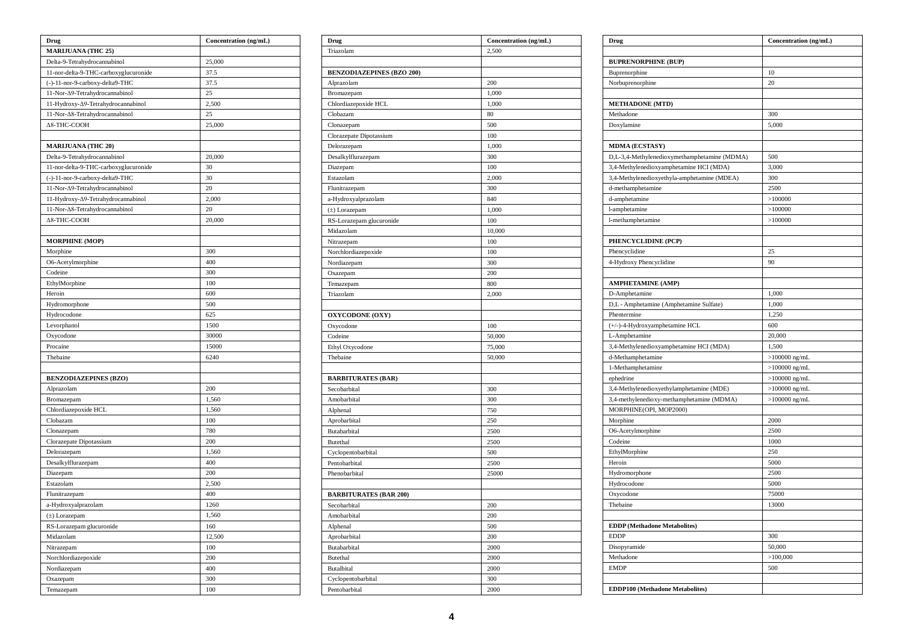| Drug                                  | Concentration (ng/mL) |  |  |
|---------------------------------------|-----------------------|--|--|
| MARIJUANA (THC 25)                    |                       |  |  |
| Delta-9-Tetrahydrocannabinol          | 25,000                |  |  |
| 11-nor-delta-9-THC-carboxyglucuronide | 37.5                  |  |  |
| (-)-11-nor-9-carboxy-delta9-THC       | 37.5                  |  |  |
| 11-Nor-Δ9-Tetrahydrocannabinol        | 25                    |  |  |
| 11-Hydroxy-Δ9-Tetrahydrocannabinol    | 2,500                 |  |  |
| 11-Nor-Δ8-Tetrahydrocannabinol        | 25                    |  |  |
| Δ8-THC-COOH                           | 25,000                |  |  |
|                                       |                       |  |  |
| <b>MARIJUANA (THC 20)</b>             |                       |  |  |
| Delta-9-Tetrahydrocannabinol          | 20,000                |  |  |
| 11-nor-delta-9-THC-carboxyglucuronide | 30                    |  |  |
| (-)-11-nor-9-carboxy-delta9-THC       | 30                    |  |  |
| 11-Nor-Δ9-Tetrahydrocannabinol        | 20                    |  |  |
| 11-Hydroxy-∆9-Tetrahydrocannabinol    | 2,000                 |  |  |
| 11-Nor-A8-Tetrahydrocannabinol        | 20                    |  |  |
| ∆8-THC-COOH                           | 20,000                |  |  |
|                                       |                       |  |  |
| <b>MORPHINE (MOP)</b>                 |                       |  |  |
| Morphine                              | 300                   |  |  |
| O6-Acetylmorphine                     | 400                   |  |  |
| Codeine                               | 300                   |  |  |
| EthylMorphine                         | 100                   |  |  |
| Heroin                                | 600                   |  |  |
| Hydromorphone                         | 500                   |  |  |
| Hydrocodone                           | 625                   |  |  |
| Levorphanol                           | 1500                  |  |  |
| Oxycodone                             | 30000                 |  |  |
| Procaine                              | 15000                 |  |  |
| Thebaine                              | 6240                  |  |  |
|                                       |                       |  |  |
| <b>BENZODIAZEPINES (BZO)</b>          |                       |  |  |
| Alprazolam                            | 200                   |  |  |
| Bromazepam                            | 1,560                 |  |  |
| Chlordiazepoxide HCL                  | 1,560                 |  |  |
| Clobazam                              | 100                   |  |  |
| Clonazepam                            | 780                   |  |  |
| Clorazepate Dipotassium               | 200                   |  |  |
| Delorazepam                           | 1,560                 |  |  |
| Desalkylflurazepam                    | 400                   |  |  |
| Diazepam                              | 200                   |  |  |
| Estazolam                             | 2,500                 |  |  |
| Flunitrazepam                         | 400                   |  |  |
| a-Hydroxyalprazolam                   | 1260                  |  |  |
| (±) Lorazepam                         | 1,560                 |  |  |
| RS-Lorazepam glucuronide              | 160                   |  |  |
| Midazolam                             | 12,500                |  |  |
| Nitrazepam                            | 100                   |  |  |
| Norchlordiazepoxide                   | 200                   |  |  |
| Nordiazepam                           | 400                   |  |  |
| Oxazepam                              | 300                   |  |  |
| Temazepam                             | 100                   |  |  |

| Drug                             | Concentration (ng/mL) |
|----------------------------------|-----------------------|
| Triazolam                        | 2,500                 |
|                                  |                       |
| <b>BENZODIAZEPINES (BZO 200)</b> |                       |
| Alprazolam                       | 200                   |
| Bromazepam                       | 1,000                 |
| Chlordiazepoxide HCL             | 1,000                 |
| Clobazam                         | 80                    |
| Clonazepam                       | 500                   |
| Clorazepate Dipotassium          | 100                   |
| Delorazepam                      | 1,000                 |
| Desalkylflurazepam               | 300                   |
| Diazepam                         | 100                   |
| Estazolam                        | 2,000                 |
| Flunitrazepam                    | 300                   |
| a-Hydroxyalprazolam              | 840                   |
| (±) Lorazepam                    | 1,000                 |
| RS-Lorazepam glucuronide         | 100                   |
| Midazolam                        | 10,000                |
| Nitrazepam                       | 100                   |
| Norchlordiazepoxide              | 100                   |
| Nordiazepam                      | 300                   |
| Oxazepam                         | 200                   |
| Temazepam                        | 800                   |
| Triazolam                        | 2,000                 |
|                                  |                       |
| <b>OXYCODONE (OXY)</b>           |                       |
| Oxycodone                        | 100                   |
| Codeine                          | 50,000                |
| Ethyl Oxycodone                  | 75,000                |
| Thebaine                         | 50,000                |
|                                  |                       |
| <b>BARBITURATES (BAR)</b>        |                       |
| Secobarbital                     | 300                   |
| Amobarbital                      | 300                   |
| Alphenal                         | 750                   |
| Aprobarbital                     | 250                   |
| Butabarbital                     | 2500                  |
| Butethal                         | 2500                  |
| Cyclopentobarbital               | 500                   |
| Pentobarbital                    | 2500                  |
| Phenobarbital                    | 25000                 |
|                                  |                       |
| <b>BARBITURATES (BAR 200)</b>    |                       |
| Secobarbital                     | 200                   |
| Amobarbital                      | 200                   |
| Alphenal                         | 500                   |
| Aprobarbital                     | 200                   |
| Butabarbital                     | 2000                  |
| Butethal                         | 2000                  |
| Butalbital                       | 2000                  |
| Cyclopentobarbital               | 300                   |
| Pentobarbital                    | 2000                  |

| Drug                                         | Concentration (ng/mL) |
|----------------------------------------------|-----------------------|
|                                              |                       |
| <b>BUPRENORPHINE (BUP)</b>                   |                       |
| Buprenorphine                                | 10                    |
| Norbuprenorphine                             | 20                    |
|                                              |                       |
| <b>METHADONE</b> (MTD)                       |                       |
| Methadone                                    | 300                   |
| Doxylamine                                   | 5,000                 |
|                                              |                       |
| <b>MDMA (ECSTASY)</b>                        |                       |
| D,L-3,4-Methylenedioxymethamphetamine (MDMA) | 500                   |
| 3,4-Methylenedioxyamphetamine HCI (MDA)      | 3,000                 |
| 3,4-Methylenedioxyethyla-amphetamine (MDEA)  | 300                   |
| d-methamphetamine                            | 2500                  |
| d-amphetamine                                | >100000               |
| l-amphetamine                                | >100000               |
| l-methamphetamine                            | >100000               |
|                                              |                       |
| PHENCYCLIDINE (PCP)                          |                       |
| Phencyclidine                                | 25                    |
| 4-Hydroxy Phencyclidine                      | 90                    |
|                                              |                       |
| <b>AMPHETAMINE (AMP)</b>                     |                       |
| D-Amphetamine                                | 1,000                 |
| D,L - Amphetamine (Amphetamine Sulfate)      | 1,000                 |
| Phentermine                                  | 1,250                 |
| (+/-)-4-Hydroxyamphetamine HCL               | 600                   |
| L-Amphetamine                                | 20,000                |
| 3,4-Methylenedioxyamphetamine HCI (MDA)      | 1,500                 |
| d-Methamphetamine                            | $>100000$ ng/mL       |
| 1-Methamphetamine                            | $>100000$ ng/mL       |
| ephedrine                                    | $>100000$ ng/mL       |
| 3,4-Methylenedioxyethylamphetamine (MDE)     | $>100000$ ng/mL       |
| 3,4-methylenedioxy-methamphetamine (MDMA)    | $>100000$ ng/mL       |
| MORPHINE(OPI, MOP2000)                       |                       |
| Morphine                                     | 2000                  |
| O6-Acetylmorphine                            | 2500                  |
| Codeine                                      | 1000                  |
| EthylMorphine                                | 250                   |
| Heroin                                       | 5000                  |
| Hydromorphone                                | 2500                  |
| Hydrocodone                                  | 5000                  |
| Oxycodone                                    | 75000                 |
| Thebaine                                     | 13000                 |
|                                              |                       |
| <b>EDDP</b> (Methadone Metabolites)          |                       |
| <b>EDDP</b>                                  | 300                   |
| Disopyramide                                 | 50,000                |
| Methadone                                    | >100,000              |
| <b>EMDP</b>                                  | 500                   |
|                                              |                       |
| <b>EDDP100 (Methadone Metabolites)</b>       |                       |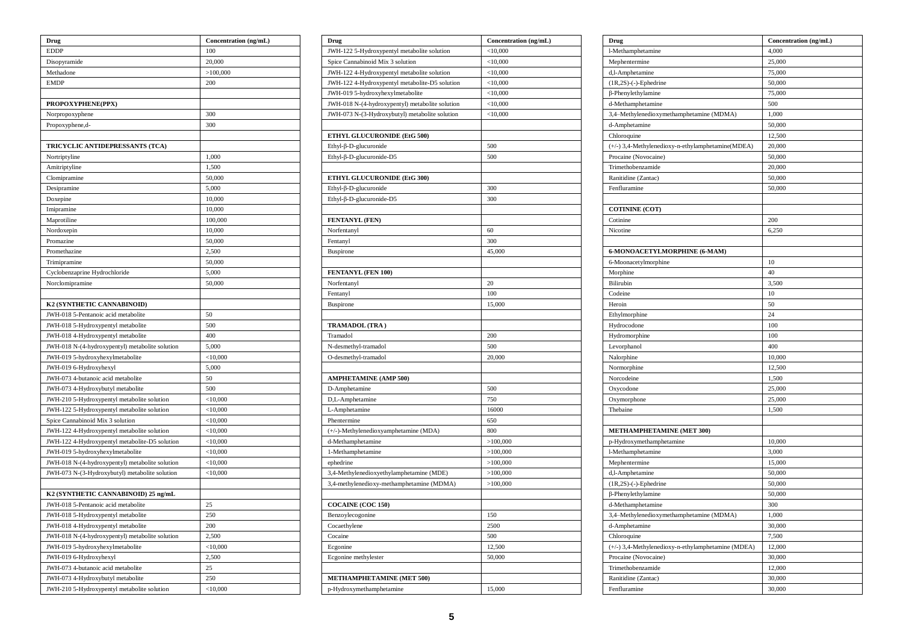| Drug                                            | Concentration (ng/mL) |
|-------------------------------------------------|-----------------------|
| <b>EDDP</b>                                     | 100                   |
| Disopyramide                                    | 20,000                |
| Methadone                                       | >100,000              |
| <b>EMDP</b>                                     | 200                   |
|                                                 |                       |
| PROPOXYPHENE(PPX)                               |                       |
| Norpropoxyphene                                 | 300                   |
| Propoxyphene,d-                                 | 300                   |
|                                                 |                       |
| TRICYCLIC ANTIDEPRESSANTS (TCA)                 |                       |
| Nortriptyline                                   | 1,000                 |
| Amitriptyline                                   | 1,500                 |
| Clomipramine                                    | 50,000                |
| Desipramine                                     | 5,000                 |
| Doxepine                                        | 10,000                |
| Imipramine                                      | 10,000                |
| Maprotiline                                     | 100,000               |
| Nordoxepin                                      | 10,000                |
| Promazine                                       | 50,000                |
| Promethazine                                    | 2,500                 |
| Trimipramine                                    | 50,000                |
| Cyclobenzaprine Hydrochloride                   | 5,000                 |
| Norclomipramine                                 | 50,000                |
|                                                 |                       |
| K2 (SYNTHETIC CANNABINOID)                      |                       |
| JWH-018 5-Pentanoic acid metabolite             | 50                    |
| JWH-018 5-Hydroxypentyl metabolite              | 500                   |
| JWH-018 4-Hydroxypentyl metabolite              | 400                   |
| JWH-018 N-(4-hydroxypentyl) metabolite solution | 5,000                 |
| JWH-019 5-hydroxyhexylmetabolite                | $<$ 10,000            |
| JWH-019 6-Hydroxyhexyl                          | 5,000                 |
| JWH-073 4-butanoic acid metabolite              | 50                    |
| JWH-073 4-Hydroxybutyl metabolite               | 500                   |
| JWH-210 5-Hydroxypentyl metabolite solution     | $<$ 10,000            |
| JWH-122 5-Hydroxypentyl metabolite solution     | $<$ 10,000            |
| Spice Cannabinoid Mix 3 solution                | $<$ 10,000            |
| JWH-122 4-Hydroxypentyl metabolite solution     | $<$ 10,000            |
| JWH-122 4-Hydroxypentyl metabolite-D5 solution  | $<$ 10,000            |
| JWH-019 5-hydroxyhexylmetabolite                | < 10,000              |
| JWH-018 N-(4-hydroxypentyl) metabolite solution | $<$ 10,000            |
| JWH-073 N-(3-Hydroxybutyl) metabolite solution  | $<$ 10,000            |
|                                                 |                       |
| K2 (SYNTHETIC CANNABINOID) 25 ng/mL             |                       |
| JWH-018 5-Pentanoic acid metabolite             | 25                    |
| JWH-018 5-Hydroxypentyl metabolite              | 250                   |
| JWH-018 4-Hydroxypentyl metabolite              | 200                   |
| JWH-018 N-(4-hydroxypentyl) metabolite solution | 2,500                 |
| JWH-019 5-hydroxyhexylmetabolite                | $<$ 10,000            |
| JWH-019 6-Hydroxyhexyl                          | 2,500                 |
| JWH-073 4-butanoic acid metabolite              | 25                    |
| JWH-073 4-Hydroxybutyl metabolite               | 250                   |
| JWH-210 5-Hydroxypentyl metabolite solution     | $<$ 10,000            |

| Drug                                            | Concentration (ng/mL) |
|-------------------------------------------------|-----------------------|
| JWH-122 5-Hydroxypentyl metabolite solution     | $<$ 10,000            |
| Spice Cannabinoid Mix 3 solution                | $<$ 10,000            |
| JWH-122 4-Hydroxypentyl metabolite solution     | $<$ 10,000            |
| JWH-122 4-Hydroxypentyl metabolite-D5 solution  | $<$ 10,000            |
| JWH-019 5-hydroxyhexylmetabolite                | $<$ 10,000            |
| JWH-018 N-(4-hydroxypentyl) metabolite solution | $<$ 10,000            |
| JWH-073 N-(3-Hydroxybutyl) metabolite solution  | $<$ 10,000            |
|                                                 |                       |
| ETHYL GLUCURONIDE (EtG 500)                     |                       |
| Ethyl-β-D-glucuronide                           | 500                   |
| Ethyl-β-D-glucuronide-D5                        | 500                   |
|                                                 |                       |
| ETHYL GLUCURONIDE (EtG 300)                     |                       |
| $Ethyl$ - $\beta$ - $D$ -glucuronide            | 300                   |
| Ethyl-β-D-glucuronide-D5                        | 300                   |
|                                                 |                       |
| FENTANYL (FEN)                                  |                       |
| Norfentanyl                                     | 60                    |
| Fentanyl                                        | 300                   |
| Buspirone                                       | 45,000                |
|                                                 |                       |
| FENTANYL (FEN 100)                              |                       |
| Norfentanyl                                     | 20                    |
| Fentanyl                                        | 100                   |
| Buspirone                                       | 15,000                |
|                                                 |                       |
| TRAMADOL (TRA)                                  |                       |
| Tramadol                                        | 200                   |
| N-desmethyl-tramadol                            | 500                   |
| O-desmethyl-tramadol                            | 20,000                |
|                                                 |                       |
| <b>AMPHETAMINE (AMP 500)</b>                    |                       |
| D-Amphetamine                                   | 500                   |
| D,L-Amphetamine                                 | 750                   |
| L-Amphetamine                                   | 16000                 |
| Phentermine                                     | 650                   |
| (+/-)-Methylenedioxyamphetamine (MDA)           | 800                   |
| d-Methamphetamine                               | >100,000              |
| 1-Methamphetamine                               | >100,000              |
| ephedrine                                       | >100,000              |
| 3,4-Methylenedioxyethylamphetamine (MDE)        | >100,000              |
| 3,4-methylenedioxy-methamphetamine (MDMA)       | >100,000              |
|                                                 |                       |
| <b>COCAINE (COC 150)</b>                        |                       |
| Benzoylecogonine                                | 150                   |
| Cocaethylene                                    | 2500                  |
| Cocaine                                         | 500                   |
| Ecgonine                                        | 12,500                |
| Ecgonine methylester                            | 50,000                |
|                                                 |                       |
| METHAMPHETAMINE (MET 500)                       |                       |
| p-Hydroxymethamphetamine                        | 15,000                |

| Drug                                               | Concentration (ng/mL) |
|----------------------------------------------------|-----------------------|
| l-Methamphetamine                                  | 4,000                 |
| Mephentermine                                      | 25,000                |
| d,l-Amphetamine                                    | 75,000                |
| $(1R,2S)$ -(-)-Ephedrine                           | 50,000                |
| $\beta$ -Phenylethylamine                          | 75,000                |
| d-Methamphetamine                                  | 500                   |
| 3,4-Methylenedioxymethamphetamine (MDMA)           | 1,000                 |
| d-Amphetamine                                      | 50,000                |
| Chloroquine                                        | 12,500                |
| (+/-) 3,4-Methylenedioxy-n-ethylamphetamine(MDEA)  | 20,000                |
| Procaine (Novocaine)                               | 50,000                |
| Trimethobenzamide                                  | 20,000                |
| Ranitidine (Zantac)                                | 50,000                |
| Fenfluramine                                       | 50,000                |
|                                                    |                       |
| <b>COTININE (COT)</b>                              |                       |
| Cotinine                                           | 200                   |
| Nicotine                                           | 6,250                 |
|                                                    |                       |
| 6-MONOACETYLMORPHINE (6-MAM)                       |                       |
| 6-Moonacetylmorphine                               | 10                    |
| Morphine                                           | 40                    |
| <b>Bilirubin</b>                                   | 3,500                 |
| Codeine                                            | 10                    |
|                                                    |                       |
| Heroin                                             | 50                    |
| Ethylmorphine                                      | 24                    |
| Hydrocodone                                        | 100                   |
| Hydromorphine                                      | 100                   |
| Levorphanol                                        | 400                   |
| Nalorphine                                         | 10,000                |
| Normorphine                                        | 12,500                |
| Norcodeine                                         | 1,500                 |
| Oxycodone                                          | 25,000                |
| Oxymorphone                                        | 25,000                |
| Thebaine                                           | 1,500                 |
|                                                    |                       |
| METHAMPHETAMINE (MET 300)                          |                       |
| p-Hydroxymethamphetamine                           | 10,000                |
| l-Methamphetamine                                  | 3,000                 |
| Mephentermine                                      | 15,000                |
| d,l-Amphetamine                                    | 50,000                |
| $(1R,2S)$ -(-)-Ephedrine                           | 50,000                |
| β-Phenylethylamine                                 | 50,000                |
| d-Methamphetamine                                  | 300                   |
| 3,4–Methylenedioxymethamphetamine (MDMA)           | 1,000                 |
| d-Amphetamine                                      | 30,000                |
| Chloroquine                                        |                       |
|                                                    | 7,500                 |
| (+/-) 3,4-Methylenedioxy-n-ethylamphetamine (MDEA) | 12,000                |
| Procaine (Novocaine)                               | 30,000                |
| Trimethobenzamide                                  | 12,000                |
| Ranitidine (Zantac)                                | 30,000                |
| Fenfluramine                                       | 30,000                |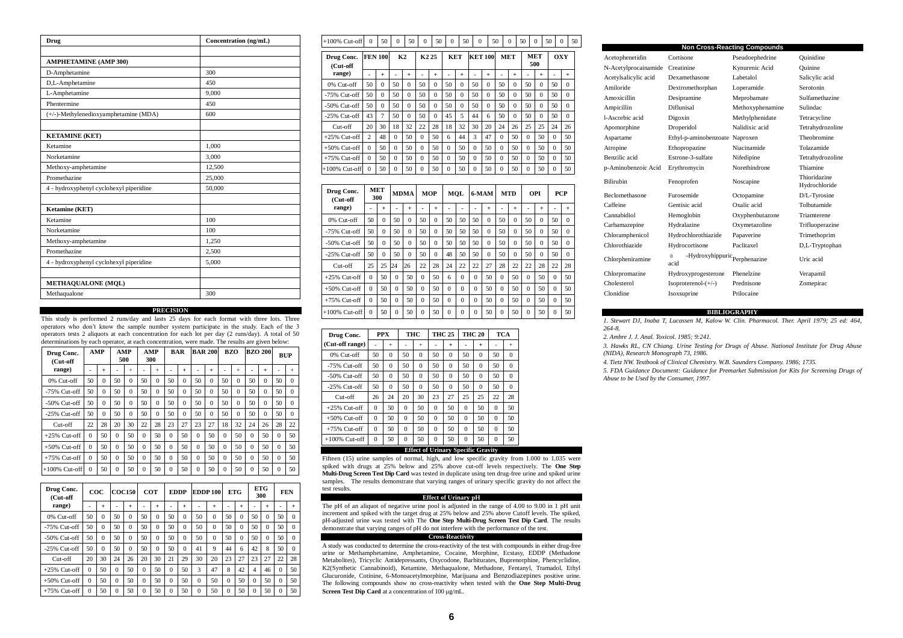| Drug                                    | Concentration (ng/mL) |  |  |  |  |  |  |
|-----------------------------------------|-----------------------|--|--|--|--|--|--|
|                                         |                       |  |  |  |  |  |  |
| <b>AMPHETAMINE (AMP 300)</b>            |                       |  |  |  |  |  |  |
| D-Amphetamine                           | 300                   |  |  |  |  |  |  |
| D,L-Amphetamine                         | 450                   |  |  |  |  |  |  |
| L-Amphetamine                           | 9.000                 |  |  |  |  |  |  |
| Phentermine                             | 450                   |  |  |  |  |  |  |
| (+/-)-Methylenedioxyamphetamine (MDA)   | 600                   |  |  |  |  |  |  |
|                                         |                       |  |  |  |  |  |  |
| <b>KETAMINE (KET)</b>                   |                       |  |  |  |  |  |  |
| Ketamine                                | 1,000                 |  |  |  |  |  |  |
| Norketamine                             | 3.000                 |  |  |  |  |  |  |
| Methoxy-amphetamine                     | 12,500                |  |  |  |  |  |  |
| Promethazine                            | 25,000                |  |  |  |  |  |  |
| 4 - hydroxyphenyl cyclohexyl piperidine | 50,000                |  |  |  |  |  |  |
|                                         |                       |  |  |  |  |  |  |
| Ketamine (KET)                          |                       |  |  |  |  |  |  |
| Ketamine                                | 100                   |  |  |  |  |  |  |
| Norketamine                             | 100                   |  |  |  |  |  |  |
| Methoxy-amphetamine                     | 1,250                 |  |  |  |  |  |  |
| Promethazine                            | 2,500                 |  |  |  |  |  |  |
| 4 - hydroxyphenyl cyclohexyl piperidine | 5,000                 |  |  |  |  |  |  |
|                                         |                       |  |  |  |  |  |  |
| <b>METHAQUALONE (MQL)</b>               |                       |  |  |  |  |  |  |
| Methaqualone                            | 300                   |  |  |  |  |  |  |

### **PRECISION**

This study is performed 2 runs/day and lasts 25 days for each format with three lots. Three operators who don't know the sample number system participate in the study. Each of the 3 operators tests 2 aliquots at each concentration for each lot per day (2 runs/day). A total of 50 determinations by each operator, at each concentration, were made. The results are given below:

| Drug Conc.<br>(Cut-off |          | AMP       |          | AMP<br>500 |          | AMP<br>300 | <b>BAR</b> |          | <b>BAR 200</b> |          | <b>BZO</b> |          | <b>BZO 200</b> |          | <b>BUP</b> |           |
|------------------------|----------|-----------|----------|------------|----------|------------|------------|----------|----------------|----------|------------|----------|----------------|----------|------------|-----------|
| range)                 |          | $\ddot{}$ | ۰        | $+$        | ۰        | $+$        |            | $+$      |                | $+$      | ۰          | $+$      |                | $+$      |            | $\ddot{}$ |
| 0% Cut-off             | 50       | $\Omega$  | 50       | $\theta$   | 50       | $\Omega$   | 50         | $\Omega$ | 50             | $\Omega$ | 50         | $\Omega$ | 50             | 0        | 50         | $\Omega$  |
| $-75%$ Cut-off         | 50       | $\Omega$  | 50       | $\theta$   | 50       | $\Omega$   | 50         | $\Omega$ | 50             | $\Omega$ | 50         | $\Omega$ | 50             | $\Omega$ | 50         | $\Omega$  |
| $-50\%$ Cut-off        | 50       | $\Omega$  | 50       | $\theta$   | 50       | $\Omega$   | 50         | $\Omega$ | 50             | $\Omega$ | 50         | $\Omega$ | 50             | $\Omega$ | 50         | $\Omega$  |
| $-25%$ Cut-off         | 50       | $\Omega$  | 50       | $\theta$   | 50       | $\Omega$   | 50         | $\Omega$ | 50             | $\Omega$ | 50         | $\Omega$ | 50             | $\Omega$ | 50         | $\Omega$  |
| $Cut-off$              | 22       | 28        | 20       | 30         | 22       | 28         | 23         | 27       | 23             | 27       | 18         | 32       | 24             | 26       | 28         | 22        |
| $+25\%$ Cut-off        | $\Omega$ | 50        | $\Omega$ | 50         | $\theta$ | 50         | $\Omega$   | 50       | $\Omega$       | 50       | $\Omega$   | 50       | $\Omega$       | 50       | $\Omega$   | 50        |
| $+50\%$ Cut-off        | $\Omega$ | 50        | $\Omega$ | 50         | $\theta$ | 50         | $\Omega$   | 50       | $\Omega$       | 50       | $\Omega$   | 50       | $\Omega$       | 50       | $\Omega$   | 50        |
| $+75%$ Cut-off         | $\Omega$ | 50        | $\Omega$ | 50         | $\theta$ | 50         | $\Omega$   | 50       | $\Omega$       | 50       | $\Omega$   | 50       | $\Omega$       | 50       | $\Omega$   | 50        |
| $+100\%$ Cut-off       | $\Omega$ | 50        | $\Omega$ | 50         | $\theta$ | 50         | $\Omega$   | 50       | $\Omega$       | 50       | $\Omega$   | 50       | 0              | 50       | $\Omega$   | 50        |

| Drug Conc.<br>(Cut-off |          | $\bf{co}$ c |          | <b>COC150</b> |          | COT      |          | <b>EDDP</b> |          | <b>EDDP100</b> | <b>ETG</b> |           |          | <b>ETG</b><br>300 | <b>FEN</b> |          |
|------------------------|----------|-------------|----------|---------------|----------|----------|----------|-------------|----------|----------------|------------|-----------|----------|-------------------|------------|----------|
| range)                 |          | $\ddot{}$   |          | $+$           |          | $^{+}$   | ۰        | $\ddot{}$   |          | $\ddot{}$      |            | $\ddot{}$ | -        | $\ddot{}$         |            | $+$      |
| 0% Cut-off             | 50       | $\Omega$    | 50       | $\Omega$      | 50       | $\Omega$ | 50       | $\Omega$    | 50       | $\Omega$       | 50         | $\Omega$  | 50       | $\theta$          | 50         | $\Omega$ |
| $-75%$ Cut-off         | 50       | $\Omega$    | 50       | $\Omega$      | 50       | $\Omega$ | 50       | $\Omega$    | 50       | $\Omega$       | 50         | $\Omega$  | 50       | $\theta$          | 50         | $\Omega$ |
| $-50\%$ Cut-off        | 50       | $\Omega$    | 50       | $\Omega$      | 50       | $\Omega$ | 50       | $\Omega$    | 50       | $\Omega$       | 50         | $\Omega$  | 50       | $\Omega$          | 50         | $\Omega$ |
| $-25\%$ Cut-off        | 50       | $\Omega$    | 50       | $\Omega$      | 50       | $\Omega$ | 50       | $\theta$    | 41       | 9              | 44         | 6         | 42       | 8                 | 50         | $\Omega$ |
| Cut-off                | 20       | 30          | 24       | 26            | 20       | 30       | 21       | 29          | 30       | 20             | 23         | 27        | 23       | 27                | 22         | 28       |
| $+25\%$ Cut-off        | $\Omega$ | 50          | $\Omega$ | 50            | $\theta$ | 50       | $\Omega$ | 50          | 3        | 47             | 8          | 42        | 4        | 46                | $\Omega$   | 50       |
| $+50\%$ Cut-off        | $\Omega$ | 50          | $\Omega$ | 50            | $\theta$ | 50       | $\theta$ | 50          | $\theta$ | 50             | $\theta$   | 50        | $\Omega$ | 50                | $\theta$   | 50       |
| $+75\%$ Cut-off        | $\Omega$ | 50          | $\Omega$ | 50            | $\Omega$ | 50       | $\theta$ | 50          | $\theta$ | 50             | $\Omega$   | 50        | $\theta$ | 50                | $\Omega$   | 50       |

| $+100\%$ Cut-off          | $\Omega$       | 50             | $\Omega$       | 50       | $\Omega$       | 50                | $\Omega$ | 50         | $\Omega$ | 50             |          | $\Omega$   | 50             | $\Omega$          | 50             | $\Omega$   | 50 |
|---------------------------|----------------|----------------|----------------|----------|----------------|-------------------|----------|------------|----------|----------------|----------|------------|----------------|-------------------|----------------|------------|----|
| Drug Conc.<br>(Cut-off    |                | <b>FEN 100</b> |                | K2       |                | K <sub>2</sub> 25 |          | <b>KET</b> |          | <b>KET 100</b> |          | <b>MET</b> |                | <b>MET</b><br>500 |                | <b>OXY</b> |    |
| range)                    |                | $+$            | $\blacksquare$ | $^{+}$   | $\overline{a}$ | $+$               |          | $+$        |          | $+$            |          | $+$        | $\blacksquare$ | $+$               | $\blacksquare$ | $+$        |    |
| 0% Cut-off                | 50             | $\Omega$       | 50             | $\theta$ | 50             | $\Omega$          | 50       | $\Omega$   | 50       | $\Omega$       | 50       | $\Omega$   | 50             | $\Omega$          | 50             | $\Omega$   |    |
| $-75\%$ Cut-off           | 50             | $\Omega$       | 50             | $\theta$ | 50             | $\Omega$          | 50       | $\Omega$   | 50       | $\Omega$       | 50       | $\Omega$   | 50             | $\Omega$          | 50             | $\Omega$   |    |
| $-50\%$ Cut-off           | 50             | $\Omega$       | 50             | $\Omega$ | 50             | $\Omega$          | 50       | $\Omega$   | 50       | $\Omega$       | 50       | $\Omega$   | 50             | $\Omega$          | 50             | $\Omega$   |    |
| $-25\%$ Cut-off           | 43             | $\overline{7}$ | 50             | $\Omega$ | 50             | $\Omega$          | 45       | 5          | 44       | 6              | 50       | $\Omega$   | 50             | $\Omega$          | 50             | $\Omega$   |    |
| Cut-off                   | 20             | 30             | 18             | 32       | 22             | 28                | 18       | 32         | 30       | 20             | 24       | 26         | 25             | 25                | 24             | 26         |    |
| $+25\%$ Cut-off           | $\overline{c}$ | 48             | $\Omega$       | 50       | $\Omega$       | 50                | 6        | 44         | 3        | 47             | $\Omega$ | 50         | $\Omega$       | 50                | $\Omega$       | 50         |    |
| $+50\%$ Cut-off           | $\Omega$       | 50             | $\Omega$       | 50       | $\Omega$       | 50                | $\Omega$ | 50         | $\Omega$ | 50             | $\Omega$ | 50         | $\Omega$       | 50                | $\Omega$       | 50         |    |
| $+75%$ Cut-off            | $\Omega$       | 50             | $\Omega$       | 50       | $\Omega$       | 50                | $\Omega$ | 50         | $\Omega$ | 50             | $\Omega$ | 50         | $\Omega$       | 50                | $\Omega$       | 50         |    |
| $+100\%$ Cut-off          | $\mathbf{0}$   | 50             | $\mathbf{0}$   | 50       | $\mathbf{0}$   | 50                | $\Omega$ | 50         | $\Omega$ | 50             | $\Omega$ | 50         | $\mathbf{0}$   | 50                | $\mathbf{0}$   | 50         |    |
|                           |                |                |                |          |                |                   |          |            |          |                |          |            |                |                   |                |            |    |
| Drug Conc.<br>$($ Cut-off |                | MET<br>300     |                | MDMA     |                | MOP               |          | MOL        |          | 6-MAM          |          | <b>MTD</b> |                | OPI               |                | PCP        |    |

| (Cut-off         |          | 300       |          | шлин      | <b>WIVI</b> |          |          | IVI V L  |          | <b>U-IVIAIVI</b> |          | MI L     |          | v.        | 1 U.I    |           |
|------------------|----------|-----------|----------|-----------|-------------|----------|----------|----------|----------|------------------|----------|----------|----------|-----------|----------|-----------|
| range)           |          | $\ddot{}$ | ۰        | $\ddot{}$ |             | $+$      | ۰        |          |          | $+$              | ۰        | $+$      |          | $\ddot{}$ |          | $\ddot{}$ |
| 0% Cut-off       | 50       | $\theta$  | 50       | $\theta$  | 50          | $\Omega$ | 50       | 50       | 50       | $\Omega$         | 50       | $\Omega$ | 50       | $\Omega$  | 50       | $\Omega$  |
| $-75\%$ Cut-off  | 50       | $\theta$  | 50       | $\Omega$  | 50          | $\Omega$ | 50       | 50       | 50       | $\Omega$         | 50       | $\Omega$ | 50       | $\Omega$  | 50       | $\Omega$  |
| $-50\%$ Cut-off  | 50       | $\theta$  | 50       | $\Omega$  | 50          | $\Omega$ | 50       | 50       | 50       | $\Omega$         | 50       | $\Omega$ | 50       | $\Omega$  | 50       | $\Omega$  |
| $-25\%$ Cut-off  | 50       | $\theta$  | 50       | $\theta$  | 50          | $\Omega$ | 48       | 50       | 50       | $\Omega$         | 50       | $\theta$ | 50       | $\theta$  | 50       | $\Omega$  |
| Cut-off          | 25       | 25        | 24       | 26        | 22          | 28       | 24       | 22       | 22       | 27               | 28       | 22       | 22       | 28        | 22       | 28        |
| $+25\%$ Cut-off  | $\Omega$ | 50        | $\Omega$ | 50        | $\theta$    | 50       | 6        | $\Omega$ | $\Omega$ | 50               | $\Omega$ | 50       | $\theta$ | 50        | $\Omega$ | 50        |
| $+50\%$ Cut-off  | $\Omega$ | 50        | $\theta$ | 50        | $\theta$    | 50       | $\Omega$ | $\Omega$ | $\Omega$ | 50               | $\Omega$ | 50       | $\Omega$ | 50        | $\Omega$ | 50        |
| $+75\%$ Cut-off  | $\Omega$ | 50        | $\theta$ | 50        | $\theta$    | 50       | $\theta$ | $\Omega$ | $\Omega$ | 50               | $\Omega$ | 50       | $\Omega$ | 50        | $\Omega$ | 50        |
| $+100\%$ Cut-off | $\Omega$ | 50        | $\theta$ | 50        | $\theta$    | 50       | $\Omega$ | $\Omega$ | $\Omega$ | 50               | $\Omega$ | 50       | $\Omega$ | 50        | $\Omega$ | 50        |

| Drug Conc.      | <b>PPX</b> |           |          | THC      | <b>THC 25</b> |           | <b>THC 20</b> |          | TCA      |          |
|-----------------|------------|-----------|----------|----------|---------------|-----------|---------------|----------|----------|----------|
| (Cut-off range) |            | $\ddot{}$ |          | $^{+}$   |               | $\ddot{}$ |               | $^{+}$   |          | $+$      |
| $0\%$ Cut-off   | 50         | $\Omega$  | 50       | $\Omega$ | 50            | $\Omega$  | 50            | $\Omega$ | 50       | $\Omega$ |
| $-75\%$ Cut-off | 50         | $\theta$  | 50       | $\Omega$ | 50            | $\Omega$  | 50            | $\theta$ | 50       | $\Omega$ |
| $-50\%$ Cut-off | 50         | $\Omega$  | 50       | $\Omega$ | 50            | $\Omega$  | 50            | $\Omega$ | 50       | $\Omega$ |
| $-25%$ Cut-off  | 50         | $\Omega$  | 50       | $\Omega$ | 50            | $\Omega$  | 50            | $\Omega$ | 50       | $\Omega$ |
| $Cut-off$       | 26         | 24        | 20       | 30       | 23            | 27        | 25            | 25       | 22       | 28       |
| $+25\%$ Cut-off | $\Omega$   | 50        | $\Omega$ | 50       | $\Omega$      | 50        | $\Omega$      | 50       | $\Omega$ | 50       |
| $+50\%$ Cut-off | $\Omega$   | 50        | $\theta$ | 50       | $\Omega$      | 50        | $\theta$      | 50       | $\Omega$ | 50       |
| $+75\%$ Cut-off | $\Omega$   | 50        | $\Omega$ | 50       | $\Omega$      | 50        | $\theta$      | 50       | $\Omega$ | 50       |
| $+100%$ Cut-off | $\Omega$   | 50        | $\Omega$ | 50       | $\theta$      | 50        | $\Omega$      | 50       | $\Omega$ | 50       |

# **Effect of Urinary Specific Gravity**

Fifteen (15) urine samples of normal, high, and low specific gravity from 1.000 to 1.035 were spiked with drugs at 25% below and 25% above cut-off levels respectively. The **One Step Multi-Drug Screen Test Dip Card** was tested in duplicate using ten drug-free urine and spiked urine samples. The results demonstrate that varying ranges of urinary specific gravity do not affect the test results.

### **Effect of Urinary pH**

The pH of an aliquot of negative urine pool is adjusted in the range of 4.00 to 9.00 in 1 pH unit increment and spiked with the target drug at 25% below and 25% above Cutoff levels. The spiked, pH-adjusted urine was tested with The **One Step Multi-Drug Screen Test Dip Card**. The results demonstrate that varying ranges of pH do not interfere with the performance of the test.

# **Cross-Reactivity**

A study was conducted to determine the cross-reactivity of the test with compounds in either drug-free urine or Methamphetamine, Amphetamine, Cocaine, Morphine, Ecstasy, EDDP (Methadone Metabolites), Tricyclic Antidepressants, Oxycodone, Barbiturates, Buprenorphine, Phencyclidine, K2(Synthetic Cannabinoid), Ketamine, Methaqualone, Methadone, Fentanyl, Tramadol, Ethyl Glucuronide, Cotinine, 6-Monoacetylmorphine, Marijuana and Benzodiazepines positive urine. The following compounds show no cross-reactivity when tested with the **One Step Multi-Drug**  Screen Test Dip Card at a concentration of 100 µg/mL.

|                       |                                                             | <b>Non Cross-Reacting Compounds</b> |                               |
|-----------------------|-------------------------------------------------------------|-------------------------------------|-------------------------------|
| Acetophenetidin       | Cortisone                                                   | Pseudoephedrine                     | Ouinidine                     |
| N-Acetylprocainamide  | Creatinine                                                  | Kynurenic Acid                      | Ouinine                       |
| Acetylsalicylic acid  | Dexamethasone                                               | Labetalol                           | Salicylic acid                |
| Amiloride             | Dextromethorphan                                            | Loperamide                          | Serotonin                     |
| Amoxicillin           | Desipramine                                                 | Meprobamate                         | Sulfamethazine                |
| Ampicillin            | Diflunisal                                                  | Methoxyphenamine                    | Sulindac                      |
| l-Ascorbic acid       | Digoxin                                                     | Methylphenidate                     | Tetracycline                  |
| Apomorphine           | Droperidol                                                  | Nalidixic acid                      | Tetrahydrozoline              |
| Aspartame             | Ethyl-p-aminobenzoate Naproxen                              |                                     | Theobromine                   |
| Atropine              | Ethopropazine                                               | Niacinamide                         | Tolazamide                    |
| Benzilic acid         | Estrone-3-sulfate                                           | Nifedipine                          | Tetrahydrozoline              |
| p-Aminobenzoic Acid   | Erythromycin                                                | Norethindrone                       | Thiamine                      |
| <b>Bilirubin</b>      | Fenoprofen                                                  | Noscapine                           | Thioridazine<br>Hydrochloride |
| <b>Beclomethasone</b> | Furosemide                                                  | Octopamine                          | D/L-Tyrosine                  |
| Caffeine              | Gentisic acid                                               | Oxalic acid                         | Tolbutamide                   |
| Cannabidiol           | Hemoglobin                                                  | Oxyphenbutazone                     | Triamterene                   |
| Carbamazepine         | Hydralazine                                                 | Oxymetazoline                       | Trifluoperazine               |
| Chloramphenicol       | Hydrochlorothiazide                                         | Papaverine                          | Trimethoprim                  |
| Chlorothiazide        | Hydrocortisone                                              | Paclitaxel                          | D,L-Tryptophan                |
| Chlorpheniramine      | -Hydroxyhippuric $\operatorname{Perphenazine}$<br>a<br>acid |                                     | Uric acid                     |
| Chlorpromazine        | Hydroxyprogesterone                                         | Phenelzine                          | Verapamil                     |
| Cholesterol           | $Isoproterenol-(+\mathcal{}/\mathcal{})$                    | Prednisone                          | Zomepirac                     |
| Clonidine             | Isoxsuprine                                                 | Prilocaine                          |                               |

### **BIBLIOGRAPHY**

*1. Stewart DJ, Inaba T, Lucassen M, Kalow W. Clin. Pharmacol. Ther. April 1979; 25 ed: 464, 264-8.*

*2. Ambre J. J. Anal. Toxicol. 1985; 9:241.*

*3. Hawks RL, CN Chiang. Urine Testing for Drugs of Abuse. National Institute for Drug Abuse (NIDA), Research Monograph 73, 1986.*

*4. Tietz NW. Textbook of Clinical Chemistry. W.B. Saunders Company. 1986; 1735.*

*5. FDA Guidance Document: Guidance for Premarket Submission for Kits for Screening Drugs of Abuse to be Used by the Consumer, 1997.*